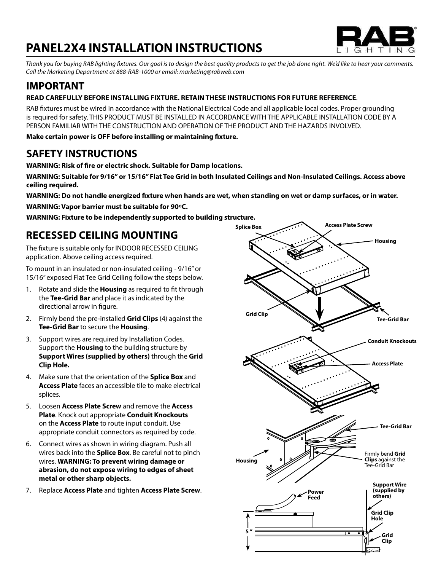# **PANEL2X4 INSTALLATION INSTRUCTIONS**



*Thank you for buying RAB lighting fixtures. Our goal is to design the best quality products to get the job done right. We'd like to hear your comments. Call the Marketing Department at 888-RAB-1000 or email: marketing@rabweb.com*

## **IMPORTANT**

### **READ CAREFULLY BEFORE INSTALLING FIXTURE. RETAIN THESE INSTRUCTIONS FOR FUTURE REFERENCE**.

RAB fixtures must be wired in accordance with the National Electrical Code and all applicable local codes. Proper grounding is required for safety. THIS PRODUCT MUST BE INSTALLED IN ACCORDANCE WITH THE APPLICABLE INSTALLATION CODE BY A PERSON FAMILIAR WITH THE CONSTRUCTION AND OPERATION OF THE PRODUCT AND THE HAZARDS INVOLVED.

**Make certain power is OFF before installing or maintaining fixture.**

### **SAFETY INSTRUCTIONS**

**WARNING: Risk of fire or electric shock. Suitable for Damp locations.** 

**WARNING: Suitable for 9/16" or 15/16" Flat Tee Grid in both Insulated Ceilings and Non-Insulated Ceilings. Access above ceiling required.** 

**WARNING: Do not handle energized fixture when hands are wet, when standing on wet or damp surfaces, or in water.**

**WARNING: Vapor barrier must be suitable for 90°C.** 

**WARNING: Fixture to be independently supported to building structure.**

## **RECESSED CEILING MOUNTING**

The fixture is suitable only for INDOOR RECESSED CEILING application. Above ceiling access required.

To mount in an insulated or non-insulated ceiling - 9/16" or 15/16" exposed Flat Tee Grid Ceiling follow the steps below.

- 1. Rotate and slide the **Housing** as required to fit through the **Tee-Grid Bar** and place it as indicated by the directional arrow in figure.
- 2. Firmly bend the pre-installed **Grid Clips** (4) against the **Tee-Grid Bar** to secure the **Housing**.
- 3. Support wires are required by Installation Codes. Support the **Housing** to the building structure by **Support Wires (supplied by others)** through the **Grid Clip Hole.**
- 4. Make sure that the orientation of the **Splice Box** and **Access Plate** faces an accessible tile to make electrical splices.
- 5. Loosen **Access Plate Screw** and remove the **Access Plate**. Knock out appropriate **Conduit Knockouts** on the **Access Plate** to route input conduit. Use appropriate conduit connectors as required by code.
- 6. Connect wires as shown in wiring diagram. Push all wires back into the **Splice Box**. Be careful not to pinch wires. **WARNING: To prevent wiring damage or abrasion, do not expose wiring to edges of sheet metal or other sharp objects.**
- 7. Replace **Access Plate** and tighten **Access Plate Screw**.

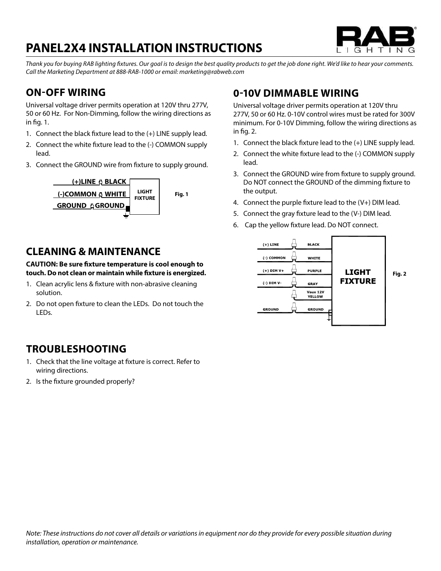# **PANEL2X4 INSTALLATION INSTRUCTIONS**



*Thank you for buying RAB lighting fixtures. Our goal is to design the best quality products to get the job done right. We'd like to hear your comments. Call the Marketing Department at 888-RAB-1000 or email: marketing@rabweb.com*

## **ON-OFF WIRING**

Universal voltage driver permits operation at 120V thru 277V, 50 or 60 Hz. For Non-Dimming, follow the wiring directions as in fig. 1.

- 1. Connect the black fixture lead to the (+) LINE supply lead.
- 2. Connect the white fixture lead to the (-) COMMON supply lead.
- 3. Connect the GROUND wire from fixture to supply ground.



### **CLEANING & MAINTENANCE**

**CAUTION: Be sure fixture temperature is cool enough to touch. Do not clean or maintain while fixture is energized.**

- 1. Clean acrylic lens & fixture with non-abrasive cleaning solution.
- 2. Do not open fixture to clean the LEDs. Do not touch the LEDs.

### **TROUBLESHOOTING**

- 1. Check that the line voltage at fixture is correct. Refer to wiring directions.
- 2. Is the fixture grounded properly?

### **0-10V DIMMABLE WIRING**

Universal voltage driver permits operation at 120V thru 277V, 50 or 60 Hz. 0-10V control wires must be rated for 300V minimum. For 0-10V Dimming, follow the wiring directions as in fig. 2.

- 1. Connect the black fixture lead to the (+) LINE supply lead.
- 2. Connect the white fixture lead to the (-) COMMON supply lead.
- 3. Connect the GROUND wire from fixture to supply ground. Do NOT connect the GROUND of the dimming fixture to the output.
- 4. Connect the purple fixture lead to the (V+) DIM lead.
- 5. Connect the gray fixture lead to the (V-) DIM lead.
- 6. Cap the yellow fixture lead. Do NOT connect.